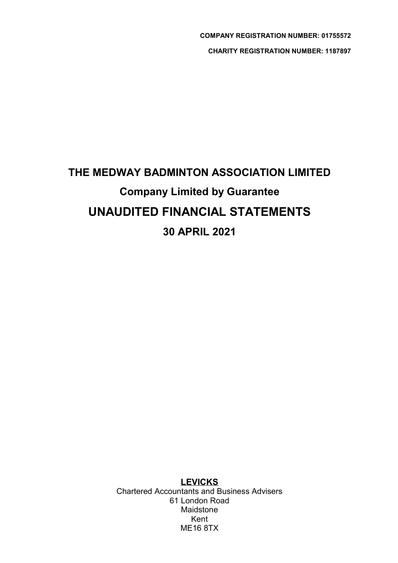# THE MEDWAY BADMINTON ASSOCIATION LIMITED Company Limited by Guarantee UNAUDITED FINANCIAL STATEMENTS 30 APRIL 2021

**LEVICKS** Chartered Accountants and Business Advisers 61 London Road Maidstone Kent ME16 8TX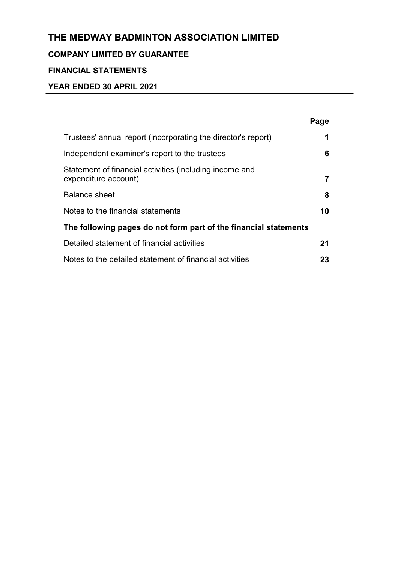# COMPANY LIMITED BY GUARANTEE

# FINANCIAL STATEMENTS

|                                                                                 | Page |
|---------------------------------------------------------------------------------|------|
| Trustees' annual report (incorporating the director's report)                   | 1    |
| Independent examiner's report to the trustees                                   | 6    |
| Statement of financial activities (including income and<br>expenditure account) |      |
| <b>Balance sheet</b>                                                            | 8    |
| Notes to the financial statements                                               | 10   |
| The following pages do not form part of the financial statements                |      |
| Detailed statement of financial activities                                      | 21   |
| Notes to the detailed statement of financial activities                         | 23   |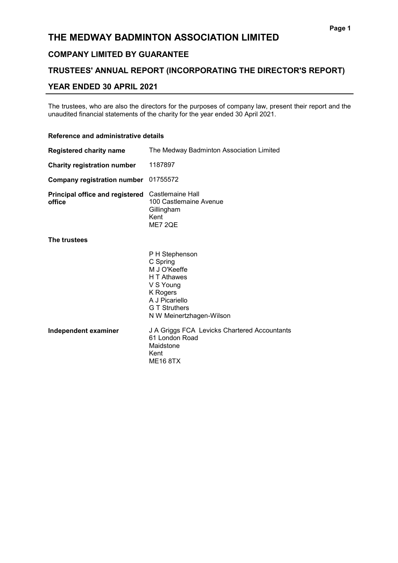# COMPANY LIMITED BY GUARANTEE

# TRUSTEES' ANNUAL REPORT (INCORPORATING THE DIRECTOR'S REPORT)

### YEAR ENDED 30 APRIL 2021

The trustees, who are also the directors for the purposes of company law, present their report and the unaudited financial statements of the charity for the year ended 30 April 2021.

### Reference and administrative details

| <b>Registered charity name</b>                   | The Medway Badminton Association Limited                                                                                                                 |
|--------------------------------------------------|----------------------------------------------------------------------------------------------------------------------------------------------------------|
| <b>Charity registration number</b>               | 1187897                                                                                                                                                  |
| <b>Company registration number</b>               | 01755572                                                                                                                                                 |
| <b>Principal office and registered</b><br>office | Castlemaine Hall<br>100 Castlemaine Avenue<br>Gillingham<br>Kent<br>ME7 2QE                                                                              |
| The trustees                                     |                                                                                                                                                          |
|                                                  | P H Stephenson<br>C Spring<br>M J O'Keeffe<br>H T Athawes<br>V S Young<br>K Rogers<br>A J Picariello<br><b>G T Struthers</b><br>N W Meinertzhagen-Wilson |
| Independent examiner                             | J A Griggs FCA Levicks Chartered Accountants<br>61 London Road<br>Maidstone<br>Kent<br><b>ME16 8TX</b>                                                   |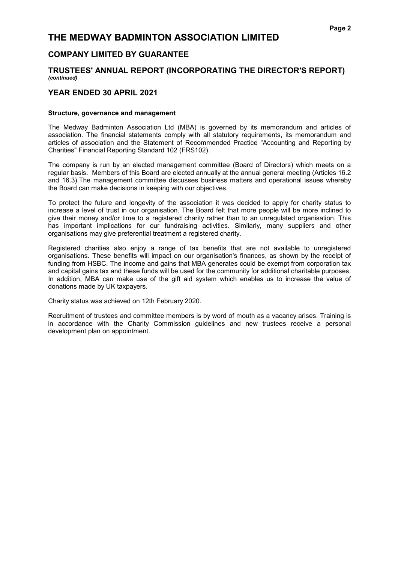### COMPANY LIMITED BY GUARANTEE

### TRUSTEES' ANNUAL REPORT (INCORPORATING THE DIRECTOR'S REPORT) (continued)

### YEAR ENDED 30 APRIL 2021

#### Structure, governance and management

The Medway Badminton Association Ltd (MBA) is governed by its memorandum and articles of association. The financial statements comply with all statutory requirements, its memorandum and articles of association and the Statement of Recommended Practice "Accounting and Reporting by Charities" Financial Reporting Standard 102 (FRS102).

The company is run by an elected management committee (Board of Directors) which meets on a regular basis. Members of this Board are elected annually at the annual general meeting (Articles 16.2 and 16.3).The management committee discusses business matters and operational issues whereby the Board can make decisions in keeping with our objectives.

To protect the future and longevity of the association it was decided to apply for charity status to increase a level of trust in our organisation. The Board felt that more people will be more inclined to give their money and/or time to a registered charity rather than to an unregulated organisation. This has important implications for our fundraising activities. Similarly, many suppliers and other organisations may give preferential treatment a registered charity.

Registered charities also enjoy a range of tax benefits that are not available to unregistered organisations. These benefits will impact on our organisation's finances, as shown by the receipt of funding from HSBC. The income and gains that MBA generates could be exempt from corporation tax and capital gains tax and these funds will be used for the community for additional charitable purposes. In addition, MBA can make use of the gift aid system which enables us to increase the value of donations made by UK taxpayers.

Charity status was achieved on 12th February 2020.

Recruitment of trustees and committee members is by word of mouth as a vacancy arises. Training is in accordance with the Charity Commission guidelines and new trustees receive a personal development plan on appointment.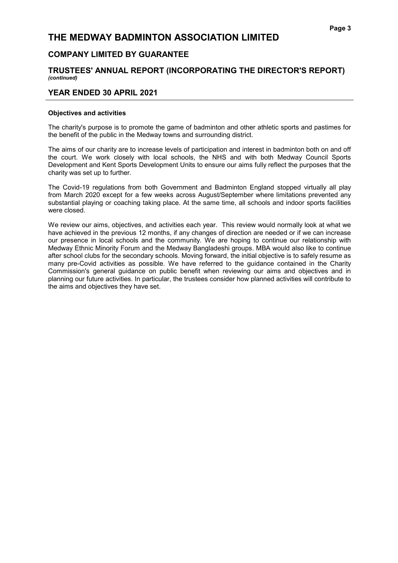# COMPANY LIMITED BY GUARANTEE

### TRUSTEES' ANNUAL REPORT (INCORPORATING THE DIRECTOR'S REPORT) (continued)

### YEAR ENDED 30 APRIL 2021

#### Objectives and activities

The charity's purpose is to promote the game of badminton and other athletic sports and pastimes for the benefit of the public in the Medway towns and surrounding district.

The aims of our charity are to increase levels of participation and interest in badminton both on and off the court. We work closely with local schools, the NHS and with both Medway Council Sports Development and Kent Sports Development Units to ensure our aims fully reflect the purposes that the charity was set up to further.

The Covid-19 regulations from both Government and Badminton England stopped virtually all play from March 2020 except for a few weeks across August/September where limitations prevented any substantial playing or coaching taking place. At the same time, all schools and indoor sports facilities were closed.

We review our aims, objectives, and activities each year. This review would normally look at what we have achieved in the previous 12 months, if any changes of direction are needed or if we can increase our presence in local schools and the community. We are hoping to continue our relationship with Medway Ethnic Minority Forum and the Medway Bangladeshi groups. MBA would also like to continue after school clubs for the secondary schools. Moving forward, the initial objective is to safely resume as many pre-Covid activities as possible. We have referred to the guidance contained in the Charity Commission's general guidance on public benefit when reviewing our aims and objectives and in planning our future activities. In particular, the trustees consider how planned activities will contribute to the aims and objectives they have set.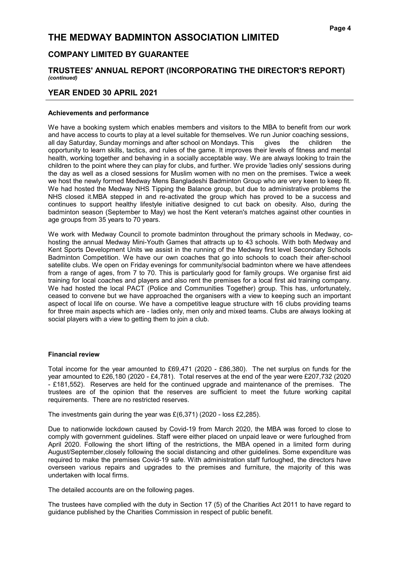### COMPANY LIMITED BY GUARANTEE

### TRUSTEES' ANNUAL REPORT (INCORPORATING THE DIRECTOR'S REPORT) (continued)

### YEAR ENDED 30 APRIL 2021

#### Achievements and performance

We have a booking system which enables members and visitors to the MBA to benefit from our work and have access to courts to play at a level suitable for themselves. We run Junior coaching sessions, all day Saturday, Sunday mornings and after school on Mondays. This gives the children the opportunity to learn skills, tactics, and rules of the game. It improves their levels of fitness and mental health, working together and behaving in a socially acceptable way. We are always looking to train the children to the point where they can play for clubs, and further. We provide 'ladies only' sessions during the day as well as a closed sessions for Muslim women with no men on the premises. Twice a week we host the newly formed Medway Mens Bangladeshi Badminton Group who are very keen to keep fit. We had hosted the Medway NHS Tipping the Balance group, but due to administrative problems the NHS closed it.MBA stepped in and re-activated the group which has proved to be a success and continues to support healthy lifestyle initiative designed to cut back on obesity. Also, during the badminton season (September to May) we host the Kent veteran's matches against other counties in age groups from 35 years to 70 years.

We work with Medway Council to promote badminton throughout the primary schools in Medway, cohosting the annual Medway Mini-Youth Games that attracts up to 43 schools. With both Medway and Kent Sports Development Units we assist in the running of the Medway first level Secondary Schools Badminton Competition. We have our own coaches that go into schools to coach their after-school satellite clubs. We open on Friday evenings for community/social badminton where we have attendees from a range of ages, from 7 to 70. This is particularly good for family groups. We organise first aid training for local coaches and players and also rent the premises for a local first aid training company. We had hosted the local PACT (Police and Communities Together) group. This has, unfortunately, ceased to convene but we have approached the organisers with a view to keeping such an important aspect of local life on course. We have a competitive league structure with 16 clubs providing teams for three main aspects which are - ladies only, men only and mixed teams. Clubs are always looking at social players with a view to getting them to join a club.

#### Financial review

Total income for the year amounted to £69,471 (2020 - £86,380). The net surplus on funds for the year amounted to £26,180 (2020 - £4,781). Total reserves at the end of the year were £207,732 (2020 - £181,552). Reserves are held for the continued upgrade and maintenance of the premises. The trustees are of the opinion that the reserves are sufficient to meet the future working capital requirements. There are no restricted reserves.

The investments gain during the year was £(6,371) (2020 - loss £2,285).

Due to nationwide lockdown caused by Covid-19 from March 2020, the MBA was forced to close to comply with government guidelines. Staff were either placed on unpaid leave or were furloughed from April 2020. Following the short lifting of the restrictions, the MBA opened in a limited form during August/September,closely following the social distancing and other guidelines. Some expenditure was required to make the premises Covid-19 safe. With administration staff furloughed, the directors have overseen various repairs and upgrades to the premises and furniture, the majority of this was undertaken with local firms.

The detailed accounts are on the following pages.

The trustees have complied with the duty in Section 17 (5) of the Charities Act 2011 to have regard to guidance published by the Charities Commission in respect of public benefit.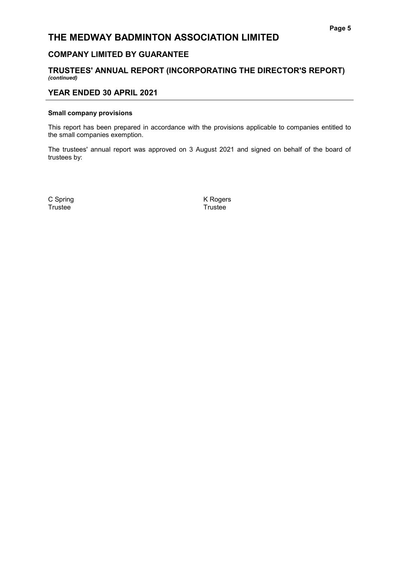# COMPANY LIMITED BY GUARANTEE

### TRUSTEES' ANNUAL REPORT (INCORPORATING THE DIRECTOR'S REPORT) (continued)

### YEAR ENDED 30 APRIL 2021

#### Small company provisions

This report has been prepared in accordance with the provisions applicable to companies entitled to the small companies exemption.

The trustees' annual report was approved on 3 August 2021 and signed on behalf of the board of trustees by:

Trustee<sup>1</sup>

C Spring K Rogers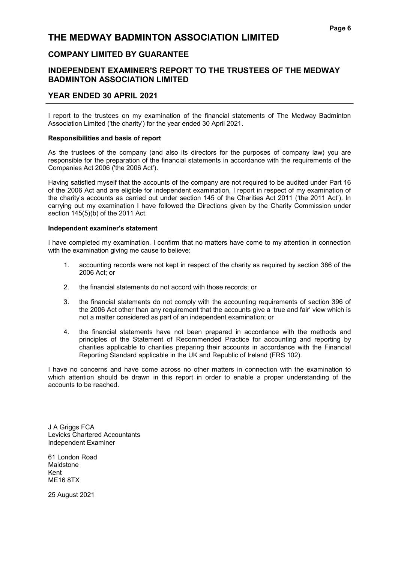# COMPANY LIMITED BY GUARANTEE

# INDEPENDENT EXAMINER'S REPORT TO THE TRUSTEES OF THE MEDWAY BADMINTON ASSOCIATION LIMITED

### YEAR ENDED 30 APRIL 2021

I report to the trustees on my examination of the financial statements of The Medway Badminton Association Limited ('the charity') for the year ended 30 April 2021.

#### Responsibilities and basis of report

As the trustees of the company (and also its directors for the purposes of company law) you are responsible for the preparation of the financial statements in accordance with the requirements of the Companies Act 2006 ('the 2006 Act').

Having satisfied myself that the accounts of the company are not required to be audited under Part 16 of the 2006 Act and are eligible for independent examination, I report in respect of my examination of the charity's accounts as carried out under section 145 of the Charities Act 2011 ('the 2011 Act'). In carrying out my examination I have followed the Directions given by the Charity Commission under section 145(5)(b) of the 2011 Act.

#### Independent examiner's statement

I have completed my examination. I confirm that no matters have come to my attention in connection with the examination giving me cause to believe:

- 1. accounting records were not kept in respect of the charity as required by section 386 of the 2006 Act; or
- 2. the financial statements do not accord with those records; or
- 3. the financial statements do not comply with the accounting requirements of section 396 of the 2006 Act other than any requirement that the accounts give a 'true and fair' view which is not a matter considered as part of an independent examination; or
- 4. the financial statements have not been prepared in accordance with the methods and principles of the Statement of Recommended Practice for accounting and reporting by charities applicable to charities preparing their accounts in accordance with the Financial Reporting Standard applicable in the UK and Republic of Ireland (FRS 102).

I have no concerns and have come across no other matters in connection with the examination to which attention should be drawn in this report in order to enable a proper understanding of the accounts to be reached.

J A Griggs FCA Levicks Chartered Accountants Independent Examiner

61 London Road Maidstone Kent ME16 8TX

25 August 2021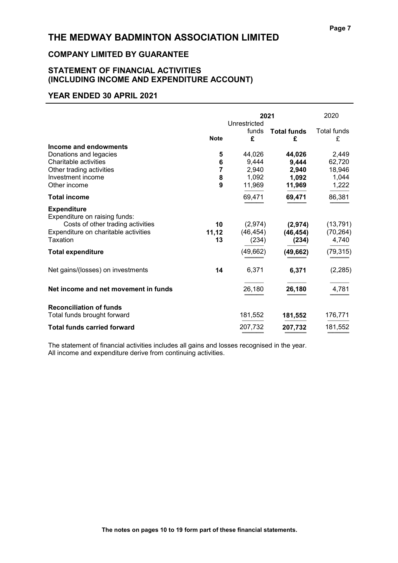# COMPANY LIMITED BY GUARANTEE

# STATEMENT OF FINANCIAL ACTIVITIES (INCLUDING INCOME AND EXPENDITURE ACCOUNT)

### YEAR ENDED 30 APRIL 2021

|                                                                                                                                              | 2021<br>Unrestricted  |                                             | 2020                                        |                                             |
|----------------------------------------------------------------------------------------------------------------------------------------------|-----------------------|---------------------------------------------|---------------------------------------------|---------------------------------------------|
|                                                                                                                                              | <b>Note</b>           | funds<br>£                                  | <b>Total funds</b><br>£                     | Total funds<br>£                            |
| Income and endowments<br>Donations and legacies<br>Charitable activities<br>Other trading activities<br>Investment income<br>Other income    | 5<br>6<br>7<br>8<br>9 | 44,026<br>9,444<br>2,940<br>1,092<br>11,969 | 44,026<br>9,444<br>2,940<br>1,092<br>11,969 | 2,449<br>62,720<br>18,946<br>1,044<br>1,222 |
| Total income                                                                                                                                 |                       | 69,471                                      | 69,471                                      | 86,381                                      |
| <b>Expenditure</b><br>Expenditure on raising funds:<br>Costs of other trading activities<br>Expenditure on charitable activities<br>Taxation | 10<br>11,12<br>13     | (2,974)<br>(46, 454)<br>(234)<br>(49, 662)  | (2,974)<br>(46, 454)<br>(234)               | (13, 791)<br>(70, 264)<br>4,740             |
| <b>Total expenditure</b><br>Net gains/(losses) on investments                                                                                | 14                    | 6,371                                       | (49, 662)<br>6,371                          | (79, 315)<br>(2, 285)                       |
| Net income and net movement in funds                                                                                                         |                       | 26,180                                      | 26,180                                      | 4,781                                       |
| <b>Reconciliation of funds</b><br>Total funds brought forward                                                                                |                       | 181,552                                     | 181,552                                     | 176,771                                     |
| <b>Total funds carried forward</b>                                                                                                           |                       | 207,732                                     | 207,732                                     | 181,552                                     |

The statement of financial activities includes all gains and losses recognised in the year. All income and expenditure derive from continuing activities.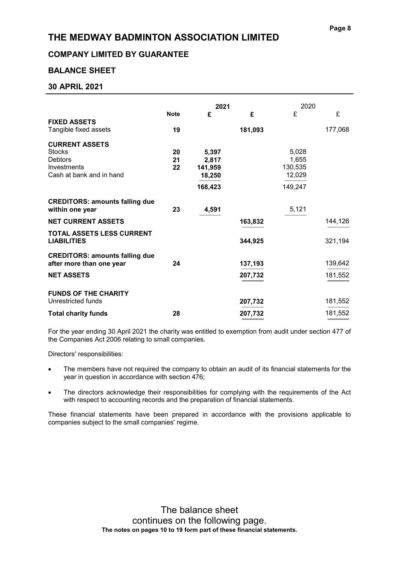# COMPANY LIMITED BY GUARANTEE

# BALANCE SHEET

# 30 APRIL 2021

|                                                                                                     |                | 2021                                           |         | 2020                                           |                    |
|-----------------------------------------------------------------------------------------------------|----------------|------------------------------------------------|---------|------------------------------------------------|--------------------|
|                                                                                                     | <b>Note</b>    | £                                              | £       | £                                              | £                  |
| <b>FIXED ASSETS</b><br>Tangible fixed assets                                                        | 19             |                                                | 181,093 |                                                | 177,068            |
| <b>CURRENT ASSETS</b><br><b>Stocks</b><br><b>Debtors</b><br>Investments<br>Cash at bank and in hand | 20<br>21<br>22 | 5,397<br>2,817<br>141,959<br>18,250<br>168,423 |         | 5,028<br>1,655<br>130,535<br>12,029<br>149,247 |                    |
| <b>CREDITORS: amounts falling due</b><br>within one year                                            | 23             | 4,591                                          |         | 5,121                                          |                    |
| <b>NET CURRENT ASSETS</b>                                                                           |                |                                                | 163,832 |                                                | 144,126            |
| <b>TOTAL ASSETS LESS CURRENT</b><br><b>LIABILITIES</b>                                              |                |                                                | 344,925 |                                                | 321,194            |
| <b>CREDITORS: amounts falling due</b><br>after more than one year                                   | 24             |                                                | 137,193 |                                                | 139,642<br>181,552 |
| <b>NET ASSETS</b>                                                                                   |                |                                                | 207,732 |                                                |                    |
| <b>FUNDS OF THE CHARITY</b><br>Unrestricted funds                                                   |                |                                                | 207,732 |                                                | 181,552            |
| <b>Total charity funds</b>                                                                          | 28             |                                                | 207,732 |                                                | 181,552            |

For the year ending 30 April 2021 the charity was entitled to exemption from audit under section 477 of the Companies Act 2006 relating to small companies.

Directors' responsibilities:

- The members have not required the company to obtain an audit of its financial statements for the year in question in accordance with section 476;
- The directors acknowledge their responsibilities for complying with the requirements of the Act with respect to accounting records and the preparation of financial statements.

These financial statements have been prepared in accordance with the provisions applicable to companies subject to the small companies' regime.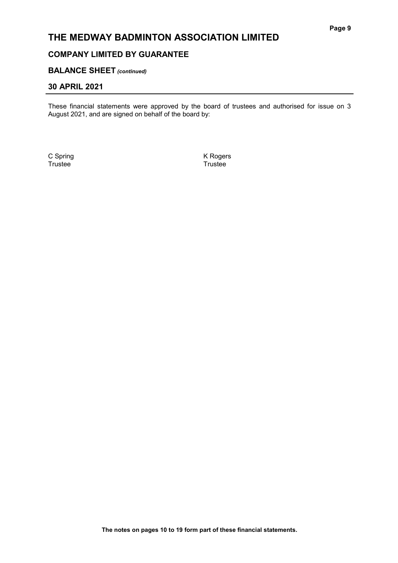# COMPANY LIMITED BY GUARANTEE

### **BALANCE SHEET** (continued)

### 30 APRIL 2021

These financial statements were approved by the board of trustees and authorised for issue on 3 August 2021, and are signed on behalf of the board by:

C Spring K Rogers **Trustee**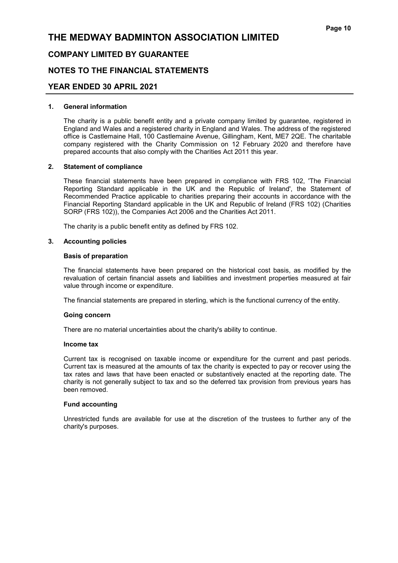### COMPANY LIMITED BY GUARANTEE

### NOTES TO THE FINANCIAL STATEMENTS

### YEAR ENDED 30 APRIL 2021

#### 1. General information

The charity is a public benefit entity and a private company limited by guarantee, registered in England and Wales and a registered charity in England and Wales. The address of the registered office is Castlemaine Hall, 100 Castlemaine Avenue, Gillingham, Kent, ME7 2QE. The charitable company registered with the Charity Commission on 12 February 2020 and therefore have prepared accounts that also comply with the Charities Act 2011 this year.

#### 2. Statement of compliance

These financial statements have been prepared in compliance with FRS 102, 'The Financial Reporting Standard applicable in the UK and the Republic of Ireland', the Statement of Recommended Practice applicable to charities preparing their accounts in accordance with the Financial Reporting Standard applicable in the UK and Republic of Ireland (FRS 102) (Charities SORP (FRS 102)), the Companies Act 2006 and the Charities Act 2011.

The charity is a public benefit entity as defined by FRS 102.

#### 3. Accounting policies

#### Basis of preparation

The financial statements have been prepared on the historical cost basis, as modified by the revaluation of certain financial assets and liabilities and investment properties measured at fair value through income or expenditure.

The financial statements are prepared in sterling, which is the functional currency of the entity.

#### Going concern

There are no material uncertainties about the charity's ability to continue.

#### Income tax

Current tax is recognised on taxable income or expenditure for the current and past periods. Current tax is measured at the amounts of tax the charity is expected to pay or recover using the tax rates and laws that have been enacted or substantively enacted at the reporting date. The charity is not generally subject to tax and so the deferred tax provision from previous years has been removed.

#### Fund accounting

Unrestricted funds are available for use at the discretion of the trustees to further any of the charity's purposes.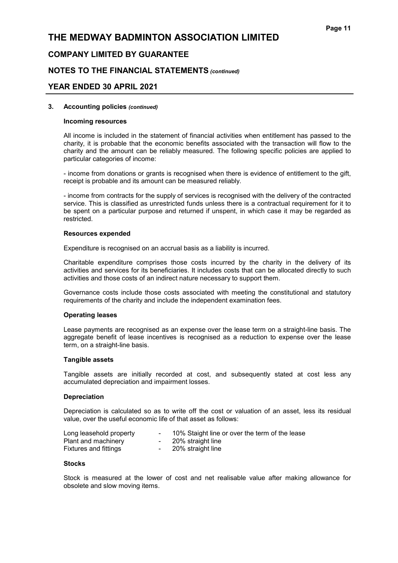### COMPANY LIMITED BY GUARANTEE

### NOTES TO THE FINANCIAL STATEMENTS (continued)

### YEAR ENDED 30 APRIL 2021

#### 3. Accounting policies (continued)

#### Incoming resources

All income is included in the statement of financial activities when entitlement has passed to the charity, it is probable that the economic benefits associated with the transaction will flow to the charity and the amount can be reliably measured. The following specific policies are applied to particular categories of income:

- income from donations or grants is recognised when there is evidence of entitlement to the gift, receipt is probable and its amount can be measured reliably.

- income from contracts for the supply of services is recognised with the delivery of the contracted service. This is classified as unrestricted funds unless there is a contractual requirement for it to be spent on a particular purpose and returned if unspent, in which case it may be regarded as restricted.

#### Resources expended

Expenditure is recognised on an accrual basis as a liability is incurred.

Charitable expenditure comprises those costs incurred by the charity in the delivery of its activities and services for its beneficiaries. It includes costs that can be allocated directly to such activities and those costs of an indirect nature necessary to support them.

Governance costs include those costs associated with meeting the constitutional and statutory requirements of the charity and include the independent examination fees.

#### Operating leases

Lease payments are recognised as an expense over the lease term on a straight-line basis. The aggregate benefit of lease incentives is recognised as a reduction to expense over the lease term, on a straight-line basis.

#### Tangible assets

Tangible assets are initially recorded at cost, and subsequently stated at cost less any accumulated depreciation and impairment losses.

#### Depreciation

Depreciation is calculated so as to write off the cost or valuation of an asset, less its residual value, over the useful economic life of that asset as follows:

| Long leasehold property | 10% Staight line or over the term of the lease |
|-------------------------|------------------------------------------------|
| Plant and machinery     | 20% straight line                              |
| Fixtures and fittings   | 20% straight line                              |

#### **Stocks**

Stock is measured at the lower of cost and net realisable value after making allowance for obsolete and slow moving items.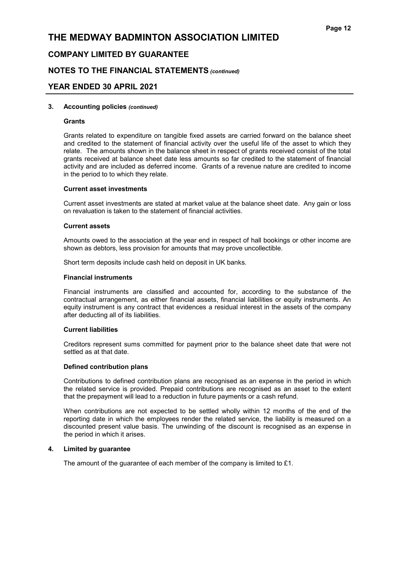### COMPANY LIMITED BY GUARANTEE

### NOTES TO THE FINANCIAL STATEMENTS (continued)

### YEAR ENDED 30 APRIL 2021

#### 3. Accounting policies (continued)

#### Grants

Grants related to expenditure on tangible fixed assets are carried forward on the balance sheet and credited to the statement of financial activity over the useful life of the asset to which they relate. The amounts shown in the balance sheet in respect of grants received consist of the total grants received at balance sheet date less amounts so far credited to the statement of financial activity and are included as deferred income. Grants of a revenue nature are credited to income in the period to to which they relate.

#### Current asset investments

Current asset investments are stated at market value at the balance sheet date. Any gain or loss on revaluation is taken to the statement of financial activities.

#### Current assets

Amounts owed to the association at the year end in respect of hall bookings or other income are shown as debtors, less provision for amounts that may prove uncollectible.

Short term deposits include cash held on deposit in UK banks.

#### Financial instruments

Financial instruments are classified and accounted for, according to the substance of the contractual arrangement, as either financial assets, financial liabilities or equity instruments. An equity instrument is any contract that evidences a residual interest in the assets of the company after deducting all of its liabilities.

#### Current liabilities

Creditors represent sums committed for payment prior to the balance sheet date that were not settled as at that date.

#### Defined contribution plans

Contributions to defined contribution plans are recognised as an expense in the period in which the related service is provided. Prepaid contributions are recognised as an asset to the extent that the prepayment will lead to a reduction in future payments or a cash refund.

When contributions are not expected to be settled wholly within 12 months of the end of the reporting date in which the employees render the related service, the liability is measured on a discounted present value basis. The unwinding of the discount is recognised as an expense in the period in which it arises.

#### 4. Limited by guarantee

The amount of the guarantee of each member of the company is limited to £1.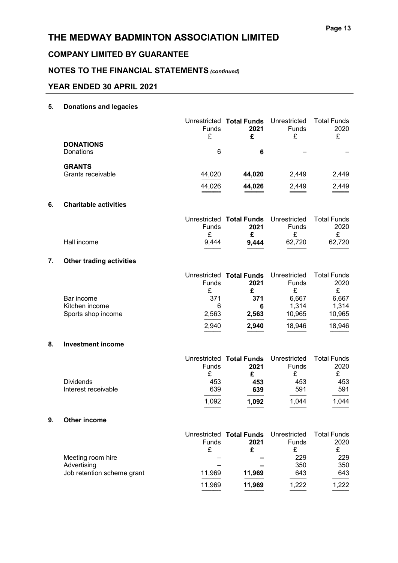# COMPANY LIMITED BY GUARANTEE

# NOTES TO THE FINANCIAL STATEMENTS (continued)

# YEAR ENDED 30 APRIL 2021

# 5. Donations and legacies

|    |                                      | Funds<br>£        | Unrestricted Total Funds<br>2021<br>£              | Unrestricted<br>Funds<br>£ | <b>Total Funds</b><br>2020<br>£ |
|----|--------------------------------------|-------------------|----------------------------------------------------|----------------------------|---------------------------------|
|    | <b>DONATIONS</b><br>Donations        | 6                 | 6                                                  |                            |                                 |
|    | <b>GRANTS</b>                        |                   |                                                    |                            |                                 |
|    | Grants receivable                    | 44,020            | 44,020                                             | 2,449                      | 2,449                           |
|    |                                      | 44,026            | 44,026                                             | 2,449                      | 2,449                           |
| 6. | <b>Charitable activities</b>         |                   |                                                    |                            |                                 |
|    |                                      | <b>Funds</b><br>£ | Unrestricted Total Funds Unrestricted<br>2021<br>£ | Funds<br>£                 | <b>Total Funds</b><br>2020<br>£ |
|    | Hall income                          | 9,444             | 9,444                                              | 62,720                     | 62,720                          |
| 7. | <b>Other trading activities</b>      |                   |                                                    |                            |                                 |
|    |                                      | Funds<br>£        | Unrestricted Total Funds<br>2021<br>£              | Unrestricted<br>Funds<br>£ | <b>Total Funds</b><br>2020<br>£ |
|    | Bar income                           | 371               | 371                                                | 6,667                      | 6,667                           |
|    | Kitchen income<br>Sports shop income | 6<br>2,563        | 6<br>2,563                                         | 1,314<br>10,965            | 1,314<br>10,965                 |
|    |                                      |                   |                                                    |                            |                                 |
|    |                                      | 2,940             | 2,940                                              | 18,946                     | 18,946                          |
| 8. | <b>Investment income</b>             |                   |                                                    |                            |                                 |
|    |                                      | Funds<br>£        | Unrestricted Total Funds<br>2021<br>£              | Unrestricted<br>Funds<br>£ | <b>Total Funds</b><br>2020<br>£ |
|    | <b>Dividends</b>                     | 453               | 453                                                | 453                        | 453                             |
|    | Interest receivable                  | 639               | 639                                                | 591                        | 591                             |
|    |                                      | 1,092             | 1,092                                              | 1,044                      | 1,044                           |
| 9. | <b>Other income</b>                  |                   |                                                    |                            |                                 |
|    |                                      | Funds             | Unrestricted Total Funds<br>2021                   | Unrestricted<br>Funds      | <b>Total Funds</b><br>2020      |

|                            | <b>Funds</b><br>£ | 2021   | <b>Funds</b> | 2020  |
|----------------------------|-------------------|--------|--------------|-------|
| Meeting room hire          |                   |        | 229          | 229   |
| Advertising                |                   |        | 350          | 350   |
| Job retention scheme grant | 11,969            | 11,969 | 643          | 643   |
|                            | 11,969            | 11,969 | 1,222        | 1,222 |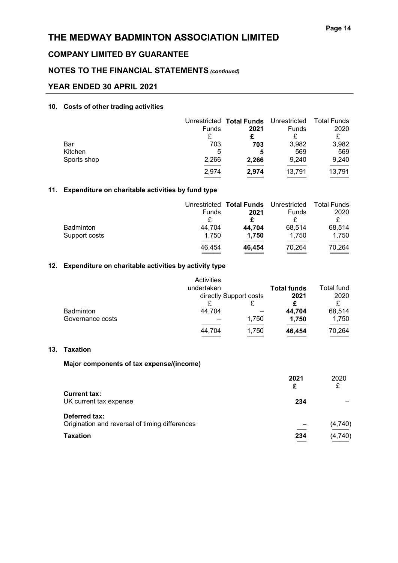# COMPANY LIMITED BY GUARANTEE

# NOTES TO THE FINANCIAL STATEMENTS (continued)

### YEAR ENDED 30 APRIL 2021

### 10. Costs of other trading activities

|             |              | Unrestricted Total Funds Unrestricted Total Funds |              |        |
|-------------|--------------|---------------------------------------------------|--------------|--------|
|             | <b>Funds</b> | 2021                                              | <b>Funds</b> | 2020   |
|             |              |                                                   |              |        |
| Bar         | 703          | 703                                               | 3,982        | 3,982  |
| Kitchen     | 5            | 5                                                 | 569          | 569    |
| Sports shop | 2,266        | 2,266                                             | 9,240        | 9,240  |
|             | 2,974        | 2,974                                             | 13,791       | 13,791 |
|             |              |                                                   |              |        |

### 11. Expenditure on charitable activities by fund type

|                  |        | Unrestricted Total Funds | Unrestricted | Total Funds |
|------------------|--------|--------------------------|--------------|-------------|
|                  | Funds  | 2021                     | Funds        | 2020        |
|                  |        |                          |              |             |
| <b>Badminton</b> | 44.704 | 44.704                   | 68.514       | 68,514      |
| Support costs    | 1.750  | 1,750                    | 1.750        | 1,750       |
|                  | 46,454 | 46,454                   | 70,264       | 70,264      |

#### 12. Expenditure on charitable activities by activity type

|                  | Activities             |       |                    |            |
|------------------|------------------------|-------|--------------------|------------|
|                  | undertaken             |       | <b>Total funds</b> | Total fund |
|                  | directly Support costs |       | 2021               | 2020       |
|                  |                        |       |                    |            |
| <b>Badminton</b> | 44,704                 |       | 44,704             | 68,514     |
| Governance costs |                        | 1,750 | 1.750              | 1,750      |
|                  | 44,704                 | 1,750 | 46,454             | 70,264     |

### 13. Taxation

#### Major components of tax expense/(income)

|                                                                 | 2021<br>£ | 2020    |
|-----------------------------------------------------------------|-----------|---------|
| <b>Current tax:</b><br>UK current tax expense                   | 234       |         |
| Deferred tax:<br>Origination and reversal of timing differences |           | (4,740) |
| <b>Taxation</b>                                                 | 234       | (4,740) |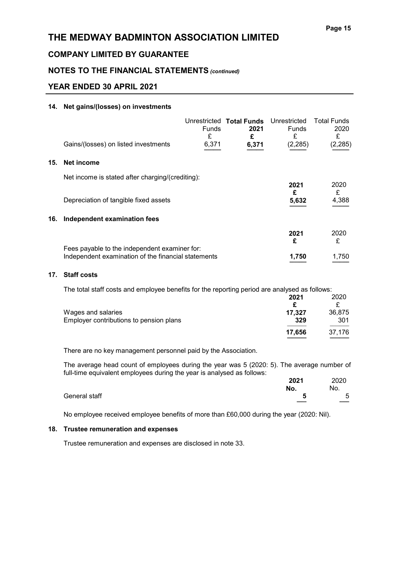# COMPANY LIMITED BY GUARANTEE

# NOTES TO THE FINANCIAL STATEMENTS (continued)

# YEAR ENDED 30 APRIL 2021

#### 14. Net gains/(losses) on investments

|     |                                                     | <b>Funds</b> | Unrestricted Total Funds<br>2021 | Unrestricted<br>Funds | <b>Total Funds</b><br>2020 |
|-----|-----------------------------------------------------|--------------|----------------------------------|-----------------------|----------------------------|
|     | Gains/(losses) on listed investments                | £<br>6,371   | £<br>6,371                       | £<br>(2, 285)         | £<br>(2, 285)              |
| 15. | Net income                                          |              |                                  |                       |                            |
|     | Net income is stated after charging/(crediting):    |              |                                  |                       |                            |
|     | Depreciation of tangible fixed assets               |              |                                  | 2021<br>£<br>5.632    | 2020<br>£<br>4.388         |
| 16. | Independent examination fees                        |              |                                  |                       |                            |
|     | Fees payable to the independent examiner for:       |              |                                  | 2021<br>£             | 2020<br>£                  |
|     | Independent examination of the financial statements |              |                                  | 1.750                 | 1.750                      |

### 17. Staff costs

The total staff costs and employee benefits for the reporting period are analysed as follows:

|                                         | 2021   | 2020   |
|-----------------------------------------|--------|--------|
|                                         |        |        |
| Wages and salaries                      | 17.327 | 36,875 |
| Employer contributions to pension plans | 329    | 301    |
|                                         | 17.656 | 37.176 |

There are no key management personnel paid by the Association.

The average head count of employees during the year was 5 (2020: 5). The average number of full-time equivalent employees during the year is analysed as follows:

|               | . . | $\tilde{\phantom{a}}$<br>. . | 2021 | 2020 |
|---------------|-----|------------------------------|------|------|
|               |     |                              | No.  | No.  |
| General staff |     |                              | Ð    | 5    |
|               |     |                              | ___  | ___  |

No employee received employee benefits of more than £60,000 during the year (2020: Nil).

### 18. Trustee remuneration and expenses

Trustee remuneration and expenses are disclosed in note 33.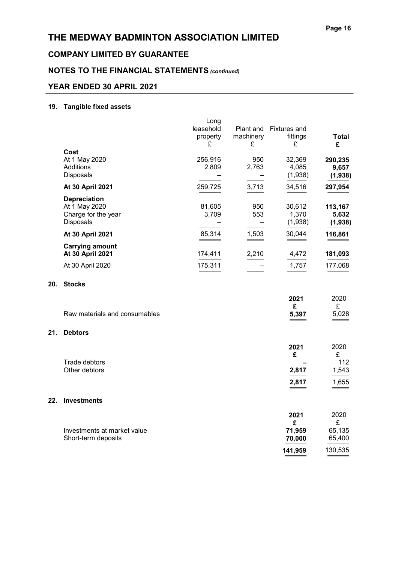# THE MEDWAY BADMINTON ASSOCIATION LIMITED

# COMPANY LIMITED BY GUARANTEE

# NOTES TO THE FINANCIAL STATEMENTS (continued)

# YEAR ENDED 30 APRIL 2021

### 19. Tangible fixed assets

|     |                               | Long      |                          |                     |              |
|-----|-------------------------------|-----------|--------------------------|---------------------|--------------|
|     |                               | leasehold | Plant and                | <b>Fixtures and</b> |              |
|     |                               | property  | machinery                | fittings            | <b>Total</b> |
|     |                               | £         | £                        | £                   | £            |
|     | Cost                          |           |                          |                     |              |
|     | At 1 May 2020                 | 256,916   | 950                      | 32,369              | 290,235      |
|     | Additions                     | 2,809     | 2,763                    | 4,085               | 9,657        |
|     | Disposals                     |           |                          | (1,938)             | (1,938)      |
|     | At 30 April 2021              | 259,725   | 3,713                    | 34,516              | 297,954      |
|     | <b>Depreciation</b>           |           |                          |                     |              |
|     | At 1 May 2020                 | 81,605    | 950                      | 30,612              | 113,167      |
|     | Charge for the year           | 3,709     | 553                      | 1,370               | 5,632        |
|     | Disposals                     |           | $\overline{\phantom{0}}$ | (1,938)             | (1,938)      |
|     | At 30 April 2021              | 85,314    | 1,503                    | 30,044              | 116,861      |
|     | <b>Carrying amount</b>        |           |                          |                     |              |
|     | At 30 April 2021              | 174,411   | 2,210                    | 4,472               | 181,093      |
|     | At 30 April 2020              | 175,311   |                          | 1,757               | 177,068      |
| 20. | <b>Stocks</b>                 |           |                          |                     |              |
|     |                               |           |                          |                     | 2020         |
|     |                               |           |                          | 2021<br>£           | £            |
|     | Raw materials and consumables |           |                          | 5,397               | 5,028        |
|     |                               |           |                          |                     |              |
| 21. | <b>Debtors</b>                |           |                          |                     |              |
|     |                               |           |                          |                     |              |
|     |                               |           |                          | 2021<br>£           | 2020<br>£    |
|     | Trade debtors                 |           |                          |                     | 112          |
|     | Other debtors                 |           |                          | 2,817               | 1,543        |
|     |                               |           |                          |                     |              |
|     |                               |           |                          | 2,817               | 1,655        |
| 22. | <b>Investments</b>            |           |                          |                     |              |
|     |                               |           |                          | 2021                | 2020         |
|     |                               |           |                          | £                   | £            |

| Investments at market value | 71.959  | 65.135  |
|-----------------------------|---------|---------|
| Short-term deposits         | 70.000  | 65.400  |
|                             | 141.959 | 130,535 |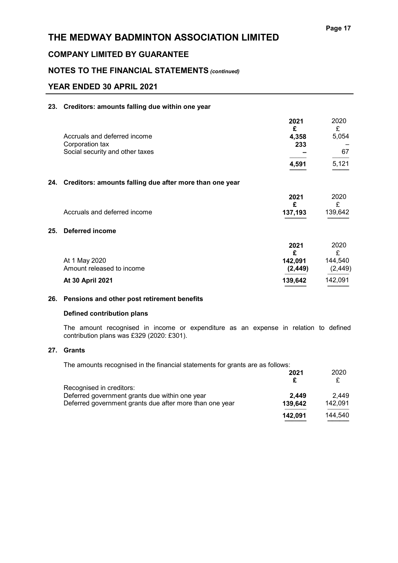### COMPANY LIMITED BY GUARANTEE

### NOTES TO THE FINANCIAL STATEMENTS (continued)

### YEAR ENDED 30 APRIL 2021

#### 23. Creditors: amounts falling due within one year

|     |                                                             | 2021<br>£ | 2020<br>£ |
|-----|-------------------------------------------------------------|-----------|-----------|
|     | Accruals and deferred income                                | 4,358     | 5,054     |
|     | Corporation tax                                             | 233       |           |
|     | Social security and other taxes                             |           | 67        |
|     |                                                             | 4,591     | 5,121     |
|     | 24. Creditors: amounts falling due after more than one year |           |           |
|     |                                                             | 2021<br>£ | 2020<br>£ |
|     | Accruals and deferred income                                | 137,193   | 139,642   |
| 25. | <b>Deferred income</b>                                      |           |           |
|     |                                                             | 2021<br>£ | 2020<br>£ |
|     | At 1 May 2020                                               | 142,091   | 144,540   |
|     | Amount released to income                                   | (2, 449)  | (2, 449)  |
|     | At 30 April 2021                                            | 139,642   | 142,091   |
|     |                                                             |           |           |

#### 26. Pensions and other post retirement benefits

#### Defined contribution plans

The amount recognised in income or expenditure as an expense in relation to defined contribution plans was £329 (2020: £301).

### 27. Grants

The amounts recognised in the financial statements for grants are as follows:

|                                                         | 2021    | 2020    |
|---------------------------------------------------------|---------|---------|
|                                                         |         |         |
| Recognised in creditors:                                |         |         |
| Deferred government grants due within one year          | 2.449   | 2.449   |
| Deferred government grants due after more than one year | 139,642 | 142.091 |
|                                                         | 142,091 | 144.540 |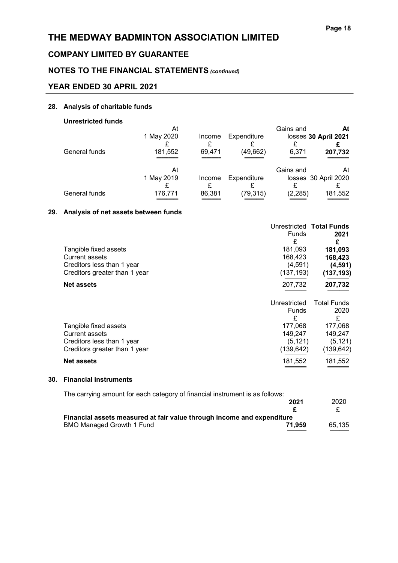# COMPANY LIMITED BY GUARANTEE

# NOTES TO THE FINANCIAL STATEMENTS (continued)

### YEAR ENDED 30 APRIL 2021

#### 28. Analysis of charitable funds

### Unrestricted funds

|               | At         |        |             | Gains and | At                   |
|---------------|------------|--------|-------------|-----------|----------------------|
|               | 1 May 2020 | Income | Expenditure |           | losses 30 April 2021 |
|               |            |        |             |           |                      |
| General funds | 181,552    | 69,471 | (49,662)    | 6,371     | 207,732              |
|               |            |        |             |           |                      |
|               | At         |        |             | Gains and | At                   |
|               | 1 May 2019 | Income | Expenditure |           | losses 30 April 2020 |
|               |            |        |             |           |                      |
| General funds | 176,771    | 86,381 | (79, 315)   | (2, 285)  | 181,552              |
|               |            |        |             |           |                      |

#### 29. Analysis of net assets between funds

|                               |              | Unrestricted Total Funds |
|-------------------------------|--------------|--------------------------|
|                               | Funds        | 2021                     |
|                               | £            | £                        |
| Tangible fixed assets         | 181,093      | 181,093                  |
| Current assets                | 168,423      | 168,423                  |
| Creditors less than 1 year    | (4,591)      | (4,591)                  |
| Creditors greater than 1 year | (137,193)    | (137, 193)               |
| <b>Net assets</b>             | 207,732      | 207,732                  |
|                               |              |                          |
|                               | Unrestricted | <b>Total Funds</b>       |
|                               | Funds        | 2020                     |
|                               | £            | £                        |
| Tangible fixed assets         | 177,068      | 177,068                  |
| <b>Current assets</b>         | 149,247      | 149,247                  |
| Creditors less than 1 year    | (5, 121)     | (5, 121)                 |
| Creditors greater than 1 year | (139,642)    | (139,642)                |

#### 30. Financial instruments

The carrying amount for each category of financial instrument is as follows:

|                                                                        | 2021   | 2020   |
|------------------------------------------------------------------------|--------|--------|
|                                                                        |        |        |
| Financial assets measured at fair value through income and expenditure |        |        |
| BMO Managed Growth 1 Fund                                              | 71.959 | 65.135 |
|                                                                        |        |        |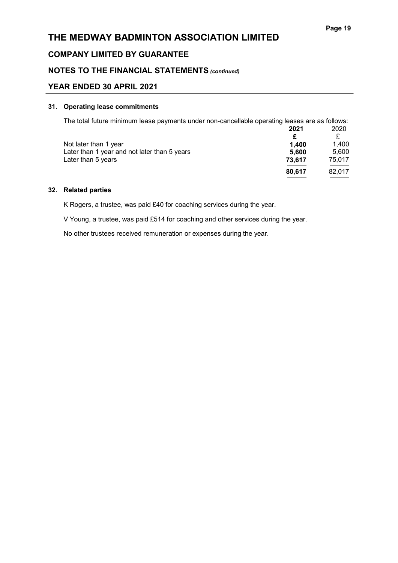### COMPANY LIMITED BY GUARANTEE

### NOTES TO THE FINANCIAL STATEMENTS (continued)

### YEAR ENDED 30 APRIL 2021

#### 31. Operating lease commitments

| The total future minimum lease payments under non-cancellable operating leases are as follows: |        |        |
|------------------------------------------------------------------------------------------------|--------|--------|
|                                                                                                | 2021   | 2020   |
|                                                                                                |        | £      |
| Not later than 1 year                                                                          | 1.400  | 1.400  |
| Later than 1 year and not later than 5 years                                                   | 5,600  | 5.600  |
| Later than 5 years                                                                             | 73,617 | 75,017 |
|                                                                                                | 80,617 | 82,017 |

#### 32. Related parties

K Rogers, a trustee, was paid £40 for coaching services during the year.

V Young, a trustee, was paid £514 for coaching and other services during the year.

No other trustees received remuneration or expenses during the year.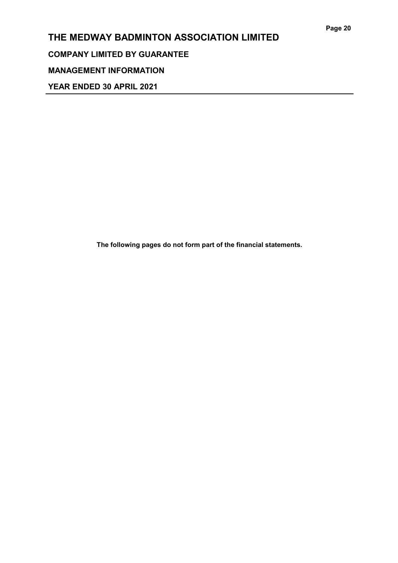# THE MEDWAY BADMINTON ASSOCIATION LIMITED COMPANY LIMITED BY GUARANTEE

# MANAGEMENT INFORMATION

YEAR ENDED 30 APRIL 2021

The following pages do not form part of the financial statements.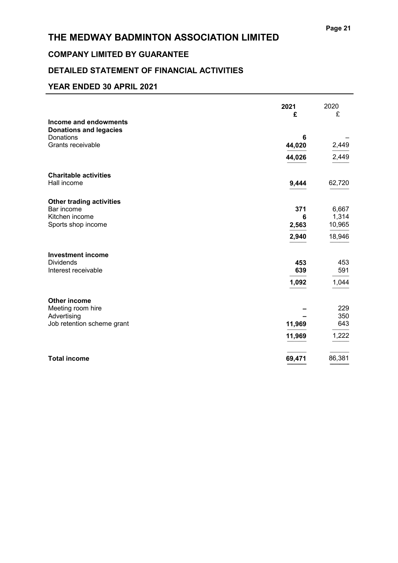# COMPANY LIMITED BY GUARANTEE

# DETAILED STATEMENT OF FINANCIAL ACTIVITIES

|                                                        | 2021<br>£  | 2020<br>£       |
|--------------------------------------------------------|------------|-----------------|
| Income and endowments<br><b>Donations and legacies</b> |            |                 |
| Donations                                              | 6          |                 |
| Grants receivable                                      | 44,020     | 2,449           |
|                                                        | 44,026     | 2,449           |
| <b>Charitable activities</b><br>Hall income            | 9,444      | 62,720          |
|                                                        |            |                 |
| <b>Other trading activities</b>                        |            |                 |
| Bar income                                             | 371        | 6,667           |
| Kitchen income<br>Sports shop income                   | 6<br>2,563 | 1,314<br>10,965 |
|                                                        | 2,940      | 18,946          |
|                                                        |            |                 |
| <b>Investment income</b>                               |            |                 |
| <b>Dividends</b><br>Interest receivable                | 453<br>639 | 453<br>591      |
|                                                        |            |                 |
|                                                        | 1,092      | 1,044           |
| <b>Other income</b>                                    |            |                 |
| Meeting room hire                                      |            | 229             |
| Advertising                                            |            | 350             |
| Job retention scheme grant                             | 11,969     | 643             |
|                                                        | 11,969     | 1,222           |
| <b>Total income</b>                                    | 69,471     | 86,381          |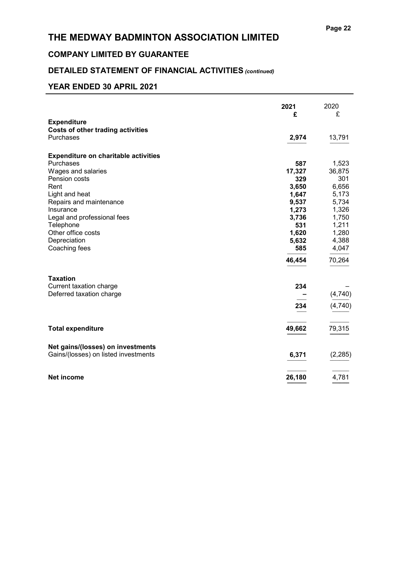# COMPANY LIMITED BY GUARANTEE

# DETAILED STATEMENT OF FINANCIAL ACTIVITIES (continued)

|                                             | 2021<br>£ | 2020<br>£ |
|---------------------------------------------|-----------|-----------|
| <b>Expenditure</b>                          |           |           |
| <b>Costs of other trading activities</b>    |           |           |
| Purchases                                   | 2,974     | 13,791    |
| <b>Expenditure on charitable activities</b> |           |           |
| Purchases                                   | 587       | 1,523     |
| Wages and salaries                          | 17,327    | 36,875    |
| Pension costs                               | 329       | 301       |
| Rent                                        | 3,650     | 6,656     |
| Light and heat                              | 1,647     | 5,173     |
| Repairs and maintenance                     | 9,537     | 5,734     |
| Insurance                                   | 1,273     | 1,326     |
| Legal and professional fees                 | 3,736     | 1,750     |
| Telephone                                   | 531       | 1,211     |
| Other office costs                          | 1,620     | 1,280     |
| Depreciation                                | 5,632     | 4,388     |
| Coaching fees                               | 585       | 4,047     |
|                                             | 46,454    | 70,264    |
| <b>Taxation</b>                             |           |           |
| Current taxation charge                     | 234       |           |
| Deferred taxation charge                    |           | (4, 740)  |
|                                             | 234       | (4,740)   |
| <b>Total expenditure</b>                    | 49,662    | 79,315    |
|                                             |           |           |
| Net gains/(losses) on investments           |           |           |
| Gains/(losses) on listed investments        | 6,371     | (2, 285)  |
| <b>Net income</b>                           | 26,180    | 4,781     |